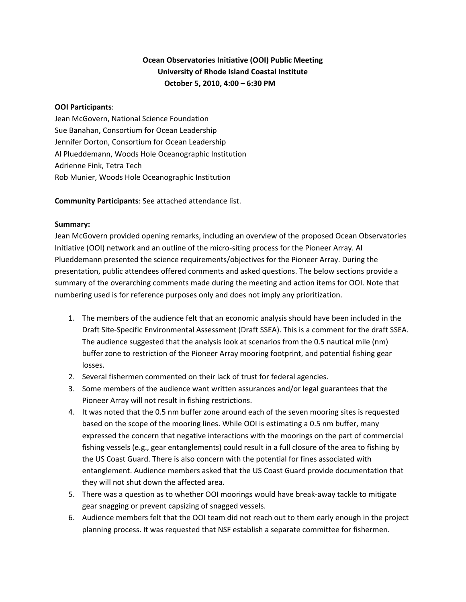# **Ocean Observatories Initiative (OOI) Public Meeting University of Rhode Island Coastal Institute October 5, 2010, 4:00 – 6:30 PM**

### **OOI Participants**:

Jean McGovern, National Science Foundation Sue Banahan, Consortium for Ocean Leadership Jennifer Dorton, Consortium for Ocean Leadership Al Plueddemann, Woods Hole Oceanographic Institution Adrienne Fink, Tetra Tech Rob Munier, Woods Hole Oceanographic Institution

**Community Participants**: See attached attendance list.

### **Summary:**

Jean McGovern provided opening remarks, including an overview of the proposed Ocean Observatories Initiative (OOI) network and an outline of the micro-siting process for the Pioneer Array. Al Plueddemann presented the science requirements/objectives for the Pioneer Array. During the presentation, public attendees offered comments and asked questions. The below sections provide a summary of the overarching comments made during the meeting and action items for OOI. Note that numbering used is for reference purposes only and does not imply any prioritization.

- 1. The members of the audience felt that an economic analysis should have been included in the Draft Site‐Specific Environmental Assessment (Draft SSEA). This is a comment for the draft SSEA. The audience suggested that the analysis look at scenarios from the 0.5 nautical mile (nm) buffer zone to restriction of the Pioneer Array mooring footprint, and potential fishing gear losses.
- 2. Several fishermen commented on their lack of trust for federal agencies.
- 3. Some members of the audience want written assurances and/or legal guarantees that the Pioneer Array will not result in fishing restrictions.
- 4. It was noted that the 0.5 nm buffer zone around each of the seven mooring sites is requested based on the scope of the mooring lines. While OOI is estimating a 0.5 nm buffer, many expressed the concern that negative interactions with the moorings on the part of commercial fishing vessels (e.g., gear entanglements) could result in a full closure of the area to fishing by the US Coast Guard. There is also concern with the potential for fines associated with entanglement. Audience members asked that the US Coast Guard provide documentation that they will not shut down the affected area.
- 5. There was a question as to whether OOI moorings would have break-away tackle to mitigate gear snagging or prevent capsizing of snagged vessels.
- 6. Audience members felt that the OOI team did not reach out to them early enough in the project planning process. It was requested that NSF establish a separate committee for fishermen.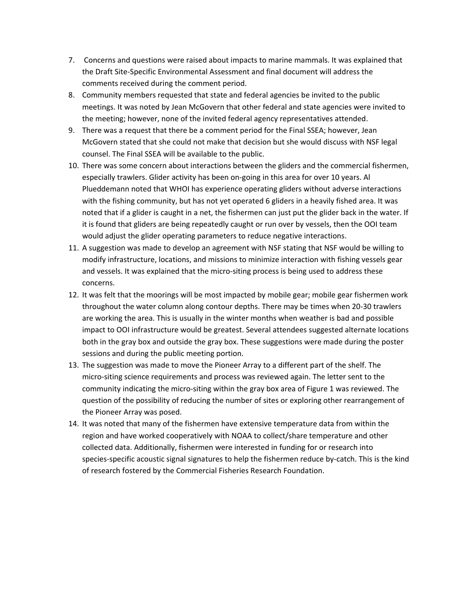- 7. Concerns and questions were raised about impacts to marine mammals. It was explained that the Draft Site‐Specific Environmental Assessment and final document will address the comments received during the comment period.
- 8. Community members requested that state and federal agencies be invited to the public meetings. It was noted by Jean McGovern that other federal and state agencies were invited to the meeting; however, none of the invited federal agency representatives attended.
- 9. There was a request that there be a comment period for the Final SSEA; however, Jean McGovern stated that she could not make that decision but she would discuss with NSF legal counsel. The Final SSEA will be available to the public.
- 10. There was some concern about interactions between the gliders and the commercial fishermen, especially trawlers. Glider activity has been on‐going in this area for over 10 years. Al Plueddemann noted that WHOI has experience operating gliders without adverse interactions with the fishing community, but has not yet operated 6 gliders in a heavily fished area. It was noted that if a glider is caught in a net, the fishermen can just put the glider back in the water. If it is found that gliders are being repeatedly caught or run over by vessels, then the OOI team would adjust the glider operating parameters to reduce negative interactions.
- 11. A suggestion was made to develop an agreement with NSF stating that NSF would be willing to modify infrastructure, locations, and missions to minimize interaction with fishing vessels gear and vessels. It was explained that the micro-siting process is being used to address these concerns.
- 12. It was felt that the moorings will be most impacted by mobile gear; mobile gear fishermen work throughout the water column along contour depths. There may be times when 20‐30 trawlers are working the area. This is usually in the winter months when weather is bad and possible impact to OOI infrastructure would be greatest. Several attendees suggested alternate locations both in the gray box and outside the gray box. These suggestions were made during the poster sessions and during the public meeting portion.
- 13. The suggestion was made to move the Pioneer Array to a different part of the shelf. The micro‐siting science requirements and process was reviewed again. The letter sent to the community indicating the micro‐siting within the gray box area of Figure 1 was reviewed. The question of the possibility of reducing the number of sites or exploring other rearrangement of the Pioneer Array was posed.
- 14. It was noted that many of the fishermen have extensive temperature data from within the region and have worked cooperatively with NOAA to collect/share temperature and other collected data. Additionally, fishermen were interested in funding for or research into species-specific acoustic signal signatures to help the fishermen reduce by-catch. This is the kind of research fostered by the Commercial Fisheries Research Foundation.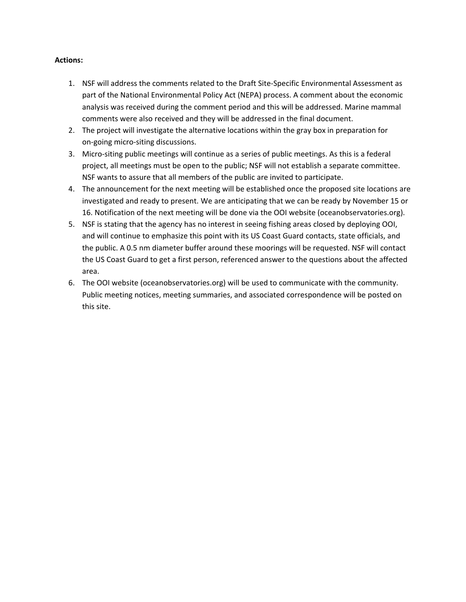### **Actions:**

- 1. NSF will address the comments related to the Draft Site‐Specific Environmental Assessment as part of the National Environmental Policy Act (NEPA) process. A comment about the economic analysis was received during the comment period and this will be addressed. Marine mammal comments were also received and they will be addressed in the final document.
- 2. The project will investigate the alternative locations within the gray box in preparation for on‐going micro‐siting discussions.
- 3. Micro‐siting public meetings will continue as a series of public meetings. As this is a federal project, all meetings must be open to the public; NSF will not establish a separate committee. NSF wants to assure that all members of the public are invited to participate.
- 4. The announcement for the next meeting will be established once the proposed site locations are investigated and ready to present. We are anticipating that we can be ready by November 15 or 16. Notification of the next meeting will be done via the OOI website (oceanobservatories.org).
- 5. NSF is stating that the agency has no interest in seeing fishing areas closed by deploying OOI, and will continue to emphasize this point with its US Coast Guard contacts, state officials, and the public. A 0.5 nm diameter buffer around these moorings will be requested. NSF will contact the US Coast Guard to get a first person, referenced answer to the questions about the affected area.
- 6. The OOI website (oceanobservatories.org) will be used to communicate with the community. Public meeting notices, meeting summaries, and associated correspondence will be posted on this site.